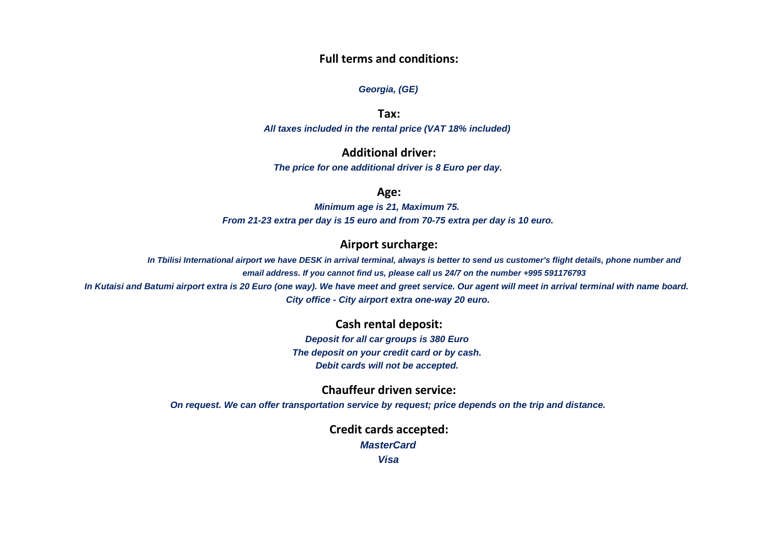### **Full terms and conditions:**

#### *Georgia, (GE)*

**Tax:**

*All taxes included in the rental price (VAT 18% included)*

## **Additional driver:**

*The price for one additional driver is 8 Euro per day.*

### **Age:**

*Minimum age is 21, Maximum 75. From 21-23 extra per day is 15 euro and from 70-75 extra per day is 10 euro.*

## **Airport surcharge:**

In Tbilisi International airport we have DESK in arrival terminal, always is better to send us customer's flight details, phone number and *email address. If you cannot find us, please call us 24/7 on the number +995 591176793*

*In Kutaisi and Batumi airport extra is 20 Euro (one way). We have meet and greet service. Our agent will meet in arrival terminal with name board. City office - City airport extra one-way 20 euro.*

# **Cash rental deposit:**

*Deposit for all car groups is 380 Euro The deposit on your credit card or by cash. Debit cards will not be accepted.*

**Chauffeur driven service:**

*On request. We can offer transportation service by request; price depends on the trip and distance.*

**Credit cards accepted:** *MasterCard Visa*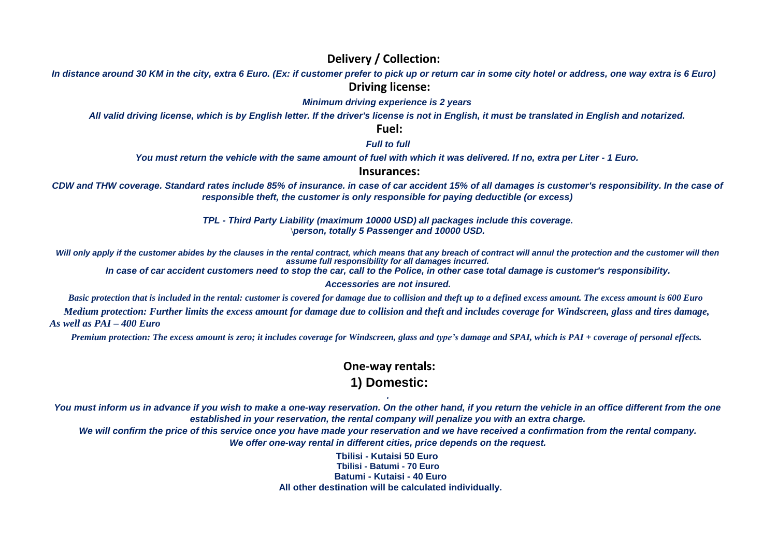# **Delivery / Collection:**

*In distance around 30 KM in the city, extra 6 Euro. (Ex: if customer prefer to pick up or return car in some city hotel or address, one way extra is 6 Euro)* **Driving license:**

# *Minimum driving experience is 2 years*

*All valid driving license, which is by English letter. If the driver's license is not in English, it must be translated in English and notarized.*

**Fuel:**

*Full to full*

*You must return the vehicle with the same amount of fuel with which it was delivered. If no, extra per Liter - 1 Euro.*

### **Insurances:**

*CDW and THW coverage. Standard rates include 85% of insurance. in case of car accident 15% of all damages is customer's responsibility. In the case of responsible theft, the customer is only responsible for paying deductible (or excess)*

> *TPL - Third Party Liability (maximum 10000 USD) all packages include this coverage.* \*person, totally 5 Passenger and 10000 USD.*

Will only apply if the customer abides by the clauses in the rental contract, which means that any breach of contract will annul the protection and the customer will then *assume full responsibility for all damages incurred.*

*In case of car accident customers need to stop the car, call to the Police, in other case total damage is customer's responsibility.*

#### *Accessories are not insured.*

*Basic protection that is included in the rental: customer is covered for damage due to collision and theft up to a defined excess amount. The excess amount is 600 Euro* 

 *Medium protection: Further limits the excess amount for damage due to collision and theft and includes coverage for Windscreen, glass and tires damage, As well as PAI – 400 Euro*

*Premium protection: The excess amount is zero; it includes coverage for Windscreen, glass and type's damage and SPAI, which is PAI + coverage of personal effects.*

# **One-way rentals: 1) Domestic:**

*. You must inform us in advance if you wish to make a one-way reservation. On the other hand, if you return the vehicle in an office different from the one established in your reservation, the rental company will penalize you with an extra charge.*

*We will confirm the price of this service once you have made your reservation and we have received a confirmation from the rental company. We offer one-way rental in different cities, price depends on the request.*

> **Tbilisi - Kutaisi 50 Euro Tbilisi - Batumi - 70 Euro Batumi - Kutaisi - 40 Euro All other destination will be calculated individually***.*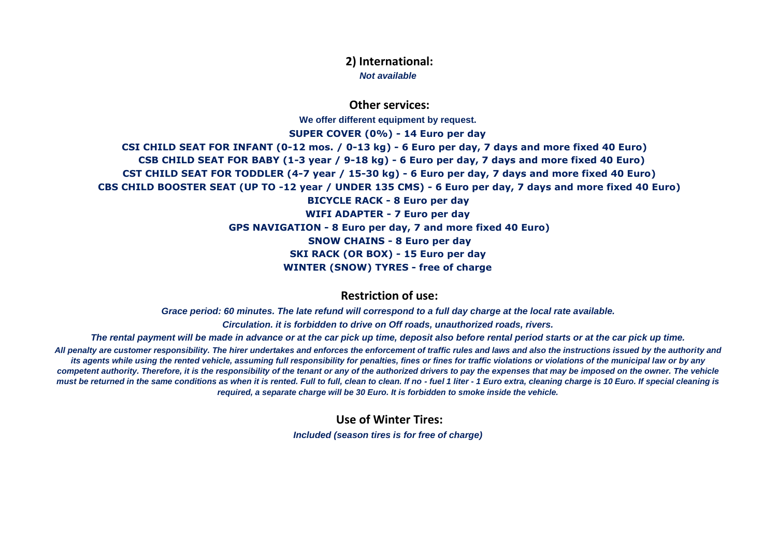**2) International:** *Not available*

**Other services:**

**We offer different equipment by request.**

**SUPER COVER (0%) - 14 Euro per day CSI CHILD SEAT FOR INFANT (0-12 mos. / 0-13 kg) - 6 Euro per day, 7 days and more fixed 40 Euro) CSB CHILD SEAT FOR BABY (1-3 year / 9-18 kg) - 6 Euro per day, 7 days and more fixed 40 Euro) CST CHILD SEAT FOR TODDLER (4-7 year / 15-30 kg) - 6 Euro per day, 7 days and more fixed 40 Euro) CBS CHILD BOOSTER SEAT (UP TO -12 year / UNDER 135 CMS) - 6 Euro per day, 7 days and more fixed 40 Euro) BICYCLE RACK - 8 Euro per day WIFI ADAPTER - 7 Euro per day GPS NAVIGATION - 8 Euro per day, 7 and more fixed 40 Euro) SNOW CHAINS - 8 Euro per day SKI RACK (OR BOX) - 15 Euro per day WINTER (SNOW) TYRES - free of charge**

**Restriction of use:**

*Grace period: 60 minutes. The late refund will correspond to a full day charge at the local rate available. Circulation. it is forbidden to drive on Off roads, unauthorized roads, rivers.*

*The rental payment will be made in advance or at the car pick up time, deposit also before rental period starts or at the car pick up time. All penalty are customer responsibility. The hirer undertakes and enforces the enforcement of traffic rules and laws and also the instructions issued by the authority and its agents while using the rented vehicle, assuming full responsibility for penalties, fines or fines for traffic violations or violations of the municipal law or by any competent authority. Therefore, it is the responsibility of the tenant or any of the authorized drivers to pay the expenses that may be imposed on the owner. The vehicle must be returned in the same conditions as when it is rented. Full to full, clean to clean. If no - fuel 1 liter - 1 Euro extra, cleaning charge is 10 Euro. If special cleaning is required, a separate charge will be 30 Euro. It is forbidden to smoke inside the vehicle.*

**Use of Winter Tires:**

*Included (season tires is for free of charge)*